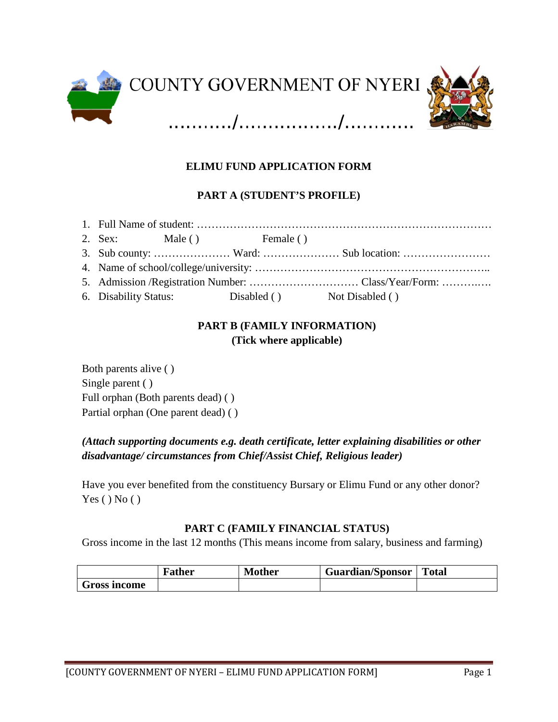

# **ELIMU FUND APPLICATION FORM**

## **PART A (STUDENT'S PROFILE)**

|  | 2. Sex: Male () Female ()                         |  |  |
|--|---------------------------------------------------|--|--|
|  |                                                   |  |  |
|  |                                                   |  |  |
|  |                                                   |  |  |
|  | 6. Disability Status: Disabled () Not Disabled () |  |  |

## **PART B (FAMILY INFORMATION) (Tick where applicable)**

Both parents alive ( ) Single parent ( ) Full orphan (Both parents dead) ( ) Partial orphan (One parent dead) ( )

# *(Attach supporting documents e.g. death certificate, letter explaining disabilities or other disadvantage/ circumstances from Chief/Assist Chief, Religious leader)*

Have you ever benefited from the constituency Bursary or Elimu Fund or any other donor?  $Yes() No()$ 

#### **PART C (FAMILY FINANCIAL STATUS)**

Gross income in the last 12 months (This means income from salary, business and farming)

|              | Father | <b>Mother</b> | <b>Guardian/Sponsor</b> | <b>Total</b> |
|--------------|--------|---------------|-------------------------|--------------|
| Gross income |        |               |                         |              |